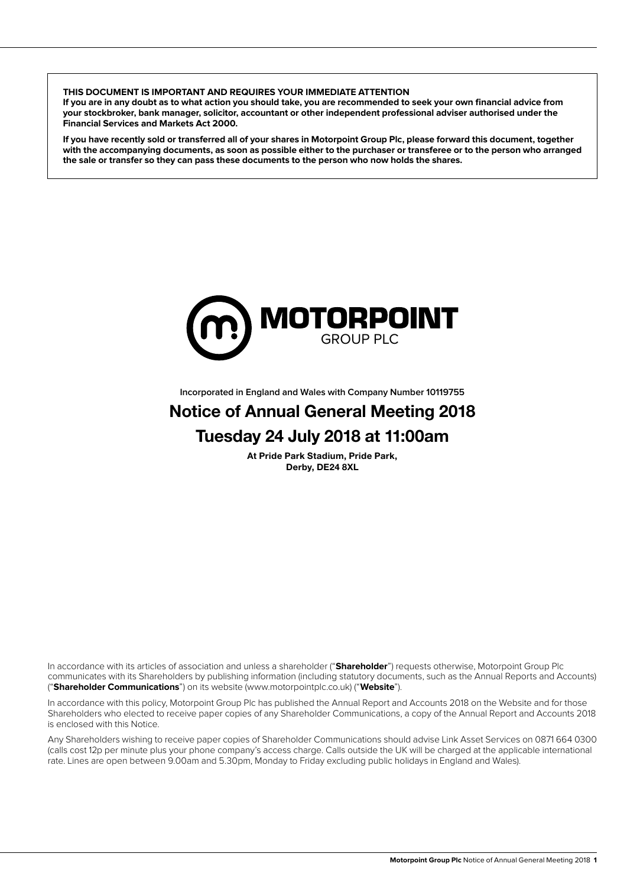**THIS DOCUMENT IS IMPORTANT AND REQUIRES YOUR IMMEDIATE ATTENTION**

**If you are in any doubt as to what action you should take, you are recommended to seek your own financial advice from your stockbroker, bank manager, solicitor, accountant or other independent professional adviser authorised under the Financial Services and Markets Act 2000.**

**If you have recently sold or transferred all of your shares in Motorpoint Group Plc, please forward this document, together with the accompanying documents, as soon as possible either to the purchaser or transferee or to the person who arranged the sale or transfer so they can pass these documents to the person who now holds the shares.**



**Incorporated in England and Wales with Company Number 10119755**

# Notice of Annual General Meeting 2018 Tuesday 24 July 2018 at 11:00am

At Pride Park Stadium, Pride Park, Derby, DE24 8XL

In accordance with its articles of association and unless a shareholder ("**Shareholder**") requests otherwise, Motorpoint Group Plc communicates with its Shareholders by publishing information (including statutory documents, such as the Annual Reports and Accounts) ("**Shareholder Communications**") on its website (www.motorpointplc.co.uk) ("**Website**").

In accordance with this policy, Motorpoint Group Plc has published the Annual Report and Accounts 2018 on the Website and for those Shareholders who elected to receive paper copies of any Shareholder Communications, a copy of the Annual Report and Accounts 2018 is enclosed with this Notice.

Any Shareholders wishing to receive paper copies of Shareholder Communications should advise Link Asset Services on 0871 664 0300 (calls cost 12p per minute plus your phone company's access charge. Calls outside the UK will be charged at the applicable international rate. Lines are open between 9.00am and 5.30pm, Monday to Friday excluding public holidays in England and Wales).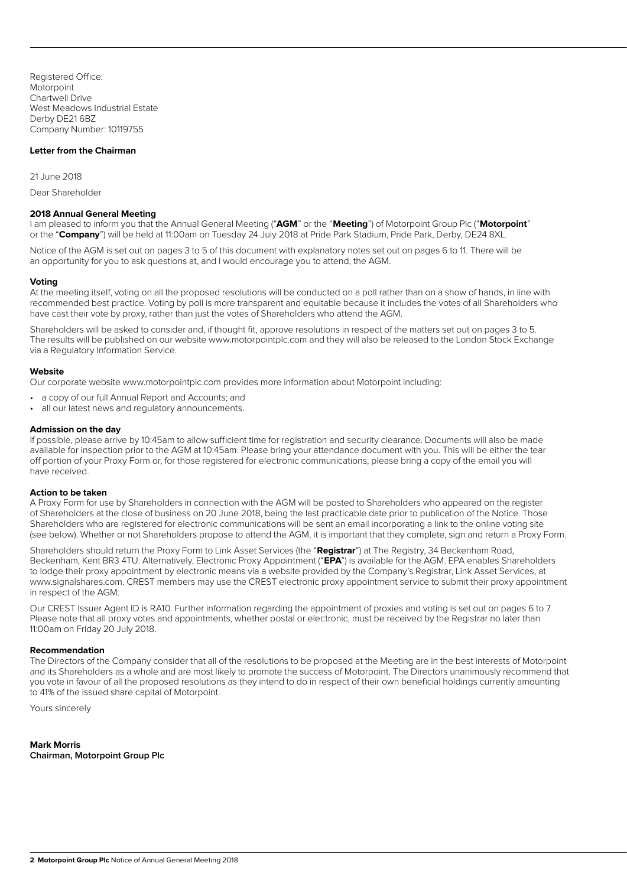Registered Office: **Motorpoint** Chartwell Drive West Meadows Industrial Estate Derby DE21 6BZ Company Number: 10119755

## **Letter from the Chairman**

21 June 2018

Dear Shareholder

#### **2018 Annual General Meeting**

I am pleased to inform you that the Annual General Meeting ("**AGM**" or the "**Meeting**") of Motorpoint Group Plc ("**Motorpoint**" or the "**Company**") will be held at 11:00am on Tuesday 24 July 2018 at Pride Park Stadium, Pride Park, Derby, DE24 8XL.

Notice of the AGM is set out on pages 3 to 5 of this document with explanatory notes set out on pages 6 to 11. There will be an opportunity for you to ask questions at, and I would encourage you to attend, the AGM.

#### **Voting**

At the meeting itself, voting on all the proposed resolutions will be conducted on a poll rather than on a show of hands, in line with recommended best practice. Voting by poll is more transparent and equitable because it includes the votes of all Shareholders who have cast their vote by proxy, rather than just the votes of Shareholders who attend the AGM.

Shareholders will be asked to consider and, if thought fit, approve resolutions in respect of the matters set out on pages 3 to 5. The results will be published on our website www.motorpointplc.com and they will also be released to the London Stock Exchange via a Regulatory Information Service.

#### **Website**

Our corporate website www.motorpointplc.com provides more information about Motorpoint including:

- a copy of our full Annual Report and Accounts; and
- all our latest news and regulatory announcements.

#### **Admission on the day**

If possible, please arrive by 10:45am to allow sufficient time for registration and security clearance. Documents will also be made available for inspection prior to the AGM at 10:45am. Please bring your attendance document with you. This will be either the tear off portion of your Proxy Form or, for those registered for electronic communications, please bring a copy of the email you will have received.

#### **Action to be taken**

A Proxy Form for use by Shareholders in connection with the AGM will be posted to Shareholders who appeared on the register of Shareholders at the close of business on 20 June 2018, being the last practicable date prior to publication of the Notice. Those Shareholders who are registered for electronic communications will be sent an email incorporating a link to the online voting site (see below). Whether or not Shareholders propose to attend the AGM, it is important that they complete, sign and return a Proxy Form.

Shareholders should return the Proxy Form to Link Asset Services (the "**Registrar**") at The Registry, 34 Beckenham Road, Beckenham, Kent BR3 4TU. Alternatively, Electronic Proxy Appointment ("**EPA**") is available for the AGM. EPA enables Shareholders to lodge their proxy appointment by electronic means via a website provided by the Company's Registrar, Link Asset Services, at www.signalshares.com. CREST members may use the CREST electronic proxy appointment service to submit their proxy appointment in respect of the AGM.

Our CREST Issuer Agent ID is RA10. Further information regarding the appointment of proxies and voting is set out on pages 6 to 7. Please note that all proxy votes and appointments, whether postal or electronic, must be received by the Registrar no later than 11:00am on Friday 20 July 2018.

#### **Recommendation**

The Directors of the Company consider that all of the resolutions to be proposed at the Meeting are in the best interests of Motorpoint and its Shareholders as a whole and are most likely to promote the success of Motorpoint. The Directors unanimously recommend that you vote in favour of all the proposed resolutions as they intend to do in respect of their own beneficial holdings currently amounting to 41% of the issued share capital of Motorpoint.

Yours sincerely

**Mark Morris Chairman, Motorpoint Group Plc**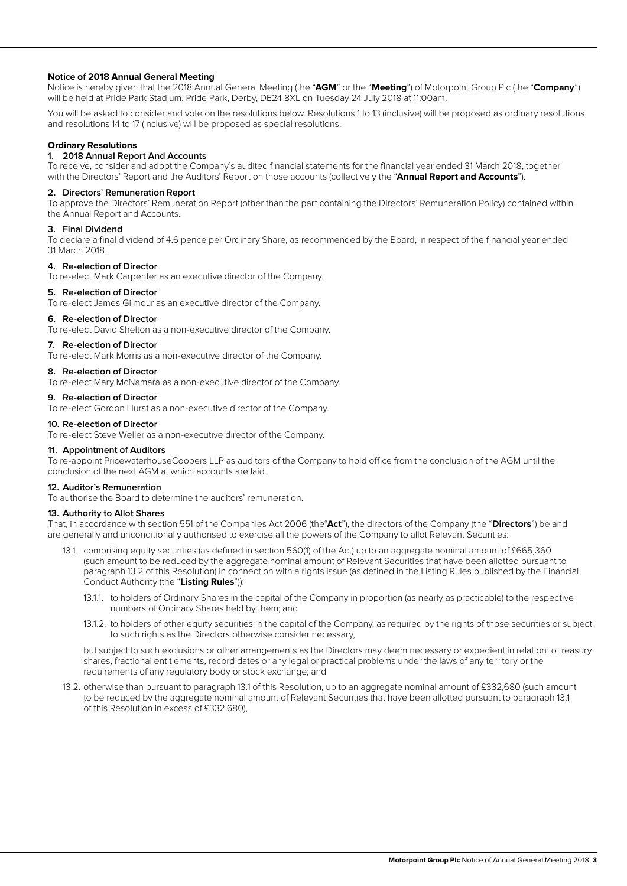## **Notice of 2018 Annual General Meeting**

Notice is hereby given that the 2018 Annual General Meeting (the "**AGM**" or the "**Meeting**") of Motorpoint Group Plc (the "**Company**") will be held at Pride Park Stadium, Pride Park, Derby, DE24 8XL on Tuesday 24 July 2018 at 11:00am.

You will be asked to consider and vote on the resolutions below. Resolutions 1 to 13 (inclusive) will be proposed as ordinary resolutions and resolutions 14 to 17 (inclusive) will be proposed as special resolutions.

## **Ordinary Resolutions**

# **1. 2018 Annual Report And Accounts**

To receive, consider and adopt the Company's audited financial statements for the financial year ended 31 March 2018, together with the Directors' Report and the Auditors' Report on those accounts (collectively the "**Annual Report and Accounts**").

#### **2. Directors' Remuneration Report**

To approve the Directors' Remuneration Report (other than the part containing the Directors' Remuneration Policy) contained within the Annual Report and Accounts.

#### **3. Final Dividend**

To declare a final dividend of 4.6 pence per Ordinary Share, as recommended by the Board, in respect of the financial year ended 31 March 2018.

#### **4. Re-election of Director**

To re-elect Mark Carpenter as an executive director of the Company.

## **5. Re-election of Director**

To re-elect James Gilmour as an executive director of the Company.

#### **6. Re-election of Director**

To re-elect David Shelton as a non-executive director of the Company.

#### **7. Re-election of Director**

To re-elect Mark Morris as a non-executive director of the Company.

#### **8. Re-election of Director**

To re-elect Mary McNamara as a non-executive director of the Company.

## **9. Re-election of Director**

To re-elect Gordon Hurst as a non-executive director of the Company.

#### **10. Re-election of Director**

To re-elect Steve Weller as a non-executive director of the Company.

#### **11. Appointment of Auditors**

To re-appoint PricewaterhouseCoopers LLP as auditors of the Company to hold office from the conclusion of the AGM until the conclusion of the next AGM at which accounts are laid.

## **12. Auditor's Remuneration**

To authorise the Board to determine the auditors' remuneration.

## **13. Authority to Allot Shares**

That, in accordance with section 551 of the Companies Act 2006 (the"**Act**"), the directors of the Company (the "**Directors**") be and are generally and unconditionally authorised to exercise all the powers of the Company to allot Relevant Securities:

- 13.1. comprising equity securities (as defined in section 560(1) of the Act) up to an aggregate nominal amount of £665,360 (such amount to be reduced by the aggregate nominal amount of Relevant Securities that have been allotted pursuant to paragraph 13.2 of this Resolution) in connection with a rights issue (as defined in the Listing Rules published by the Financial Conduct Authority (the "**Listing Rules**")):
	- 13.1.1. to holders of Ordinary Shares in the capital of the Company in proportion (as nearly as practicable) to the respective numbers of Ordinary Shares held by them; and
	- 13.1.2. to holders of other equity securities in the capital of the Company, as required by the rights of those securities or subject to such rights as the Directors otherwise consider necessary,

but subject to such exclusions or other arrangements as the Directors may deem necessary or expedient in relation to treasury shares, fractional entitlements, record dates or any legal or practical problems under the laws of any territory or the requirements of any regulatory body or stock exchange; and

13.2. otherwise than pursuant to paragraph 13.1 of this Resolution, up to an aggregate nominal amount of £332,680 (such amount to be reduced by the aggregate nominal amount of Relevant Securities that have been allotted pursuant to paragraph 13.1 of this Resolution in excess of £332,680),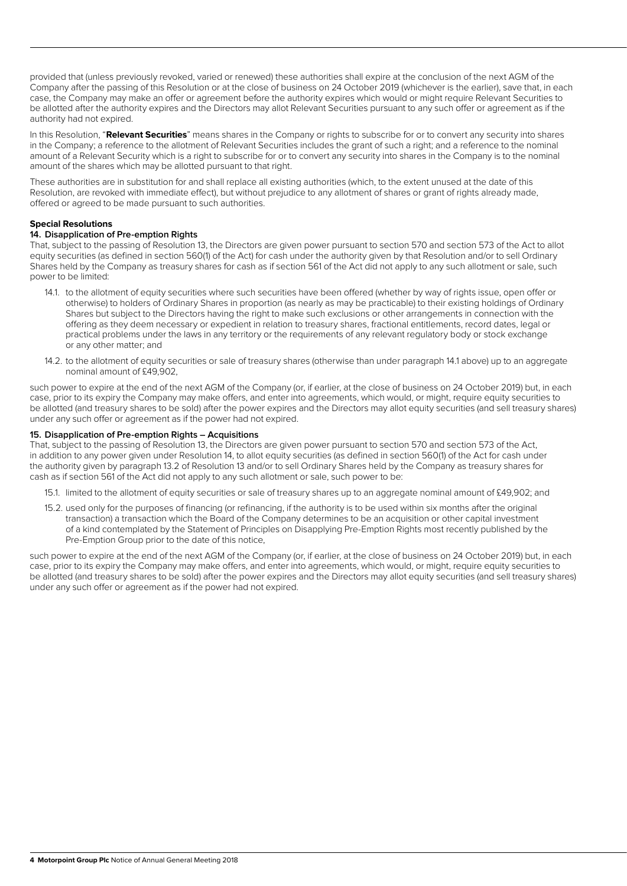provided that (unless previously revoked, varied or renewed) these authorities shall expire at the conclusion of the next AGM of the Company after the passing of this Resolution or at the close of business on 24 October 2019 (whichever is the earlier), save that, in each case, the Company may make an offer or agreement before the authority expires which would or might require Relevant Securities to be allotted after the authority expires and the Directors may allot Relevant Securities pursuant to any such offer or agreement as if the authority had not expired.

In this Resolution, "**Relevant Securities**" means shares in the Company or rights to subscribe for or to convert any security into shares in the Company; a reference to the allotment of Relevant Securities includes the grant of such a right; and a reference to the nominal amount of a Relevant Security which is a right to subscribe for or to convert any security into shares in the Company is to the nominal amount of the shares which may be allotted pursuant to that right.

These authorities are in substitution for and shall replace all existing authorities (which, to the extent unused at the date of this Resolution, are revoked with immediate effect), but without prejudice to any allotment of shares or grant of rights already made, offered or agreed to be made pursuant to such authorities.

## **Special Resolutions**

## **14. Disapplication of Pre-emption Rights**

That, subject to the passing of Resolution 13, the Directors are given power pursuant to section 570 and section 573 of the Act to allot equity securities (as defined in section 560(1) of the Act) for cash under the authority given by that Resolution and/or to sell Ordinary Shares held by the Company as treasury shares for cash as if section 561 of the Act did not apply to any such allotment or sale, such power to be limited:

- 14.1. to the allotment of equity securities where such securities have been offered (whether by way of rights issue, open offer or otherwise) to holders of Ordinary Shares in proportion (as nearly as may be practicable) to their existing holdings of Ordinary Shares but subject to the Directors having the right to make such exclusions or other arrangements in connection with the offering as they deem necessary or expedient in relation to treasury shares, fractional entitlements, record dates, legal or practical problems under the laws in any territory or the requirements of any relevant regulatory body or stock exchange or any other matter; and
- 14.2. to the allotment of equity securities or sale of treasury shares (otherwise than under paragraph 14.1 above) up to an aggregate nominal amount of £49,902,

such power to expire at the end of the next AGM of the Company (or, if earlier, at the close of business on 24 October 2019) but, in each case, prior to its expiry the Company may make offers, and enter into agreements, which would, or might, require equity securities to be allotted (and treasury shares to be sold) after the power expires and the Directors may allot equity securities (and sell treasury shares) under any such offer or agreement as if the power had not expired.

## **15. Disapplication of Pre-emption Rights – Acquisitions**

That, subject to the passing of Resolution 13, the Directors are given power pursuant to section 570 and section 573 of the Act, in addition to any power given under Resolution 14, to allot equity securities (as defined in section 560(1) of the Act for cash under the authority given by paragraph 13.2 of Resolution 13 and/or to sell Ordinary Shares held by the Company as treasury shares for cash as if section 561 of the Act did not apply to any such allotment or sale, such power to be:

- 15.1. limited to the allotment of equity securities or sale of treasury shares up to an aggregate nominal amount of £49,902; and
- 15.2. used only for the purposes of financing (or refinancing, if the authority is to be used within six months after the original transaction) a transaction which the Board of the Company determines to be an acquisition or other capital investment of a kind contemplated by the Statement of Principles on Disapplying Pre-Emption Rights most recently published by the Pre-Emption Group prior to the date of this notice,

such power to expire at the end of the next AGM of the Company (or, if earlier, at the close of business on 24 October 2019) but, in each case, prior to its expiry the Company may make offers, and enter into agreements, which would, or might, require equity securities to be allotted (and treasury shares to be sold) after the power expires and the Directors may allot equity securities (and sell treasury shares) under any such offer or agreement as if the power had not expired.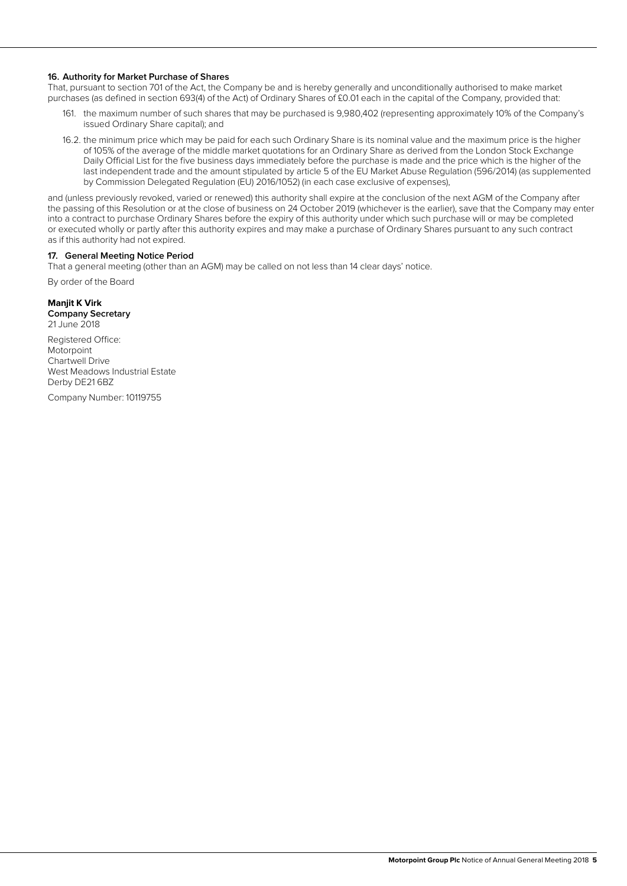## **16. Authority for Market Purchase of Shares**

That, pursuant to section 701 of the Act, the Company be and is hereby generally and unconditionally authorised to make market purchases (as defined in section 693(4) of the Act) of Ordinary Shares of £0.01 each in the capital of the Company, provided that:

- 161. the maximum number of such shares that may be purchased is 9,980,402 (representing approximately 10% of the Company's issued Ordinary Share capital); and
- 16.2. the minimum price which may be paid for each such Ordinary Share is its nominal value and the maximum price is the higher of 105% of the average of the middle market quotations for an Ordinary Share as derived from the London Stock Exchange Daily Official List for the five business days immediately before the purchase is made and the price which is the higher of the last independent trade and the amount stipulated by article 5 of the EU Market Abuse Regulation (596/2014) (as supplemented by Commission Delegated Regulation (EU) 2016/1052) (in each case exclusive of expenses),

and (unless previously revoked, varied or renewed) this authority shall expire at the conclusion of the next AGM of the Company after the passing of this Resolution or at the close of business on 24 October 2019 (whichever is the earlier), save that the Company may enter into a contract to purchase Ordinary Shares before the expiry of this authority under which such purchase will or may be completed or executed wholly or partly after this authority expires and may make a purchase of Ordinary Shares pursuant to any such contract as if this authority had not expired.

#### **17. General Meeting Notice Period**

That a general meeting (other than an AGM) may be called on not less than 14 clear days' notice.

By order of the Board

## **Manjit K Virk**

**Company Secretary** 21 June 2018

Registered Office: Motorpoint Chartwell Drive West Meadows Industrial Estate Derby DE21 6BZ

Company Number: 10119755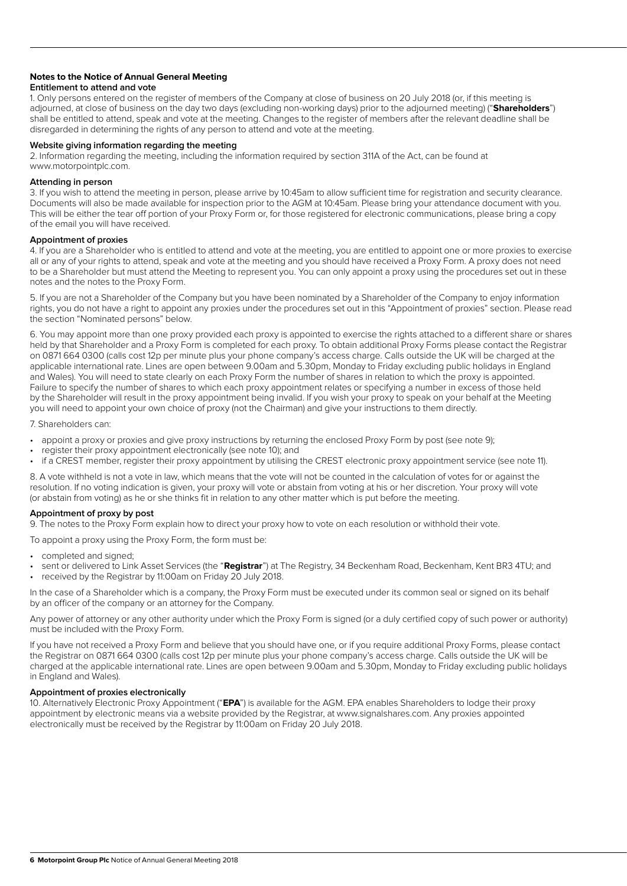## **Notes to the Notice of Annual General Meeting**

#### **Entitlement to attend and vote**

1. Only persons entered on the register of members of the Company at close of business on 20 July 2018 (or, if this meeting is adjourned, at close of business on the day two days (excluding non-working days) prior to the adjourned meeting) ("**Shareholders**") shall be entitled to attend, speak and vote at the meeting. Changes to the register of members after the relevant deadline shall be disregarded in determining the rights of any person to attend and vote at the meeting.

## **Website giving information regarding the meeting**

2. Information regarding the meeting, including the information required by section 311A of the Act, can be found at www.motorpointplc.com.

#### **Attending in person**

3. If you wish to attend the meeting in person, please arrive by 10:45am to allow sufficient time for registration and security clearance. Documents will also be made available for inspection prior to the AGM at 10:45am. Please bring your attendance document with you. This will be either the tear off portion of your Proxy Form or, for those registered for electronic communications, please bring a copy of the email you will have received.

## **Appointment of proxies**

4. If you are a Shareholder who is entitled to attend and vote at the meeting, you are entitled to appoint one or more proxies to exercise all or any of your rights to attend, speak and vote at the meeting and you should have received a Proxy Form. A proxy does not need to be a Shareholder but must attend the Meeting to represent you. You can only appoint a proxy using the procedures set out in these notes and the notes to the Proxy Form.

5. If you are not a Shareholder of the Company but you have been nominated by a Shareholder of the Company to enjoy information rights, you do not have a right to appoint any proxies under the procedures set out in this "Appointment of proxies" section. Please read the section "Nominated persons" below.

6. You may appoint more than one proxy provided each proxy is appointed to exercise the rights attached to a different share or shares held by that Shareholder and a Proxy Form is completed for each proxy. To obtain additional Proxy Forms please contact the Registrar on 0871 664 0300 (calls cost 12p per minute plus your phone company's access charge. Calls outside the UK will be charged at the applicable international rate. Lines are open between 9.00am and 5.30pm, Monday to Friday excluding public holidays in England and Wales). You will need to state clearly on each Proxy Form the number of shares in relation to which the proxy is appointed. Failure to specify the number of shares to which each proxy appointment relates or specifying a number in excess of those held by the Shareholder will result in the proxy appointment being invalid. If you wish your proxy to speak on your behalf at the Meeting you will need to appoint your own choice of proxy (not the Chairman) and give your instructions to them directly.

#### 7. Shareholders can:

- appoint a proxy or proxies and give proxy instructions by returning the enclosed Proxy Form by post (see note 9);
- register their proxy appointment electronically (see note 10); and
- if a CREST member, register their proxy appointment by utilising the CREST electronic proxy appointment service (see note 11).

8. A vote withheld is not a vote in law, which means that the vote will not be counted in the calculation of votes for or against the resolution. If no voting indication is given, your proxy will vote or abstain from voting at his or her discretion. Your proxy will vote (or abstain from voting) as he or she thinks fit in relation to any other matter which is put before the meeting.

## **Appointment of proxy by post**

9. The notes to the Proxy Form explain how to direct your proxy how to vote on each resolution or withhold their vote.

To appoint a proxy using the Proxy Form, the form must be:

- completed and signed;
- sent or delivered to Link Asset Services (the "**Registrar**") at The Registry, 34 Beckenham Road, Beckenham, Kent BR3 4TU; and
- received by the Registrar by 11:00am on Friday 20 July 2018.

In the case of a Shareholder which is a company, the Proxy Form must be executed under its common seal or signed on its behalf by an officer of the company or an attorney for the Company.

Any power of attorney or any other authority under which the Proxy Form is signed (or a duly certified copy of such power or authority) must be included with the Proxy Form.

If you have not received a Proxy Form and believe that you should have one, or if you require additional Proxy Forms, please contact the Registrar on 0871 664 0300 (calls cost 12p per minute plus your phone company's access charge. Calls outside the UK will be charged at the applicable international rate. Lines are open between 9.00am and 5.30pm, Monday to Friday excluding public holidays in England and Wales).

## **Appointment of proxies electronically**

10. Alternatively Electronic Proxy Appointment ("**EPA**") is available for the AGM. EPA enables Shareholders to lodge their proxy appointment by electronic means via a website provided by the Registrar, at www.signalshares.com. Any proxies appointed electronically must be received by the Registrar by 11:00am on Friday 20 July 2018.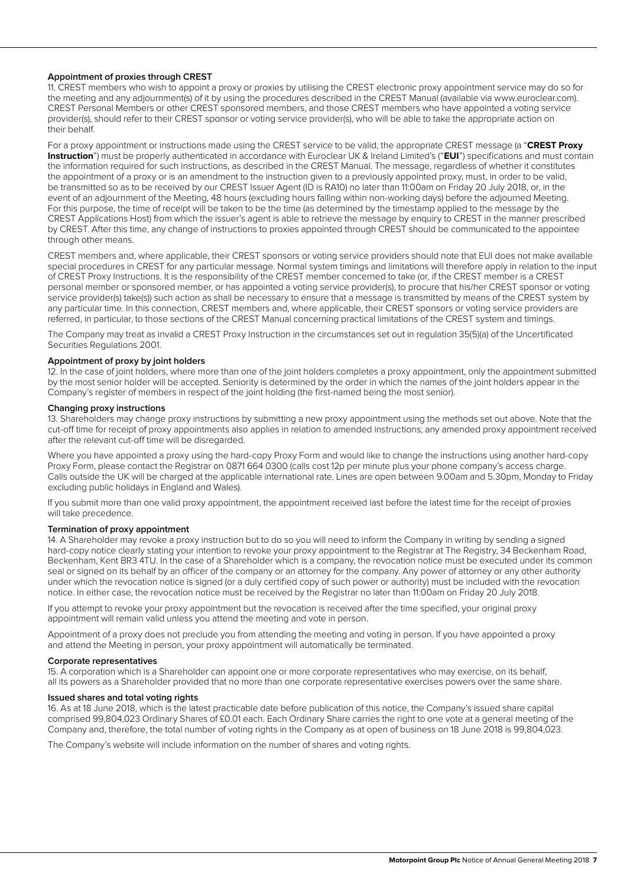## **Appointment of proxies through CREST**

11. CREST members who wish to appoint a proxy or proxies by utilising the CREST electronic proxy appointment service may do so for the meeting and any adjournment(s) of it by using the procedures described in the CREST Manual (available via www.euroclear.com). CREST Personal Members or other CREST sponsored members, and those CREST members who have appointed a voting service provider(s), should refer to their CREST sponsor or voting service provider(s), who will be able to take the appropriate action on their behalf.

For a proxy appointment or instructions made using the CREST service to be valid, the appropriate CREST message (a "**CREST Proxy Instruction**") must be properly authenticated in accordance with Euroclear UK & Ireland Limited's ("**EUI**") specifications and must contain the information required for such instructions, as described in the CREST Manual. The message, regardless of whether it constitutes the appointment of a proxy or is an amendment to the instruction given to a previously appointed proxy, must, in order to be valid, be transmitted so as to be received by our CREST Issuer Agent (ID is RA10) no later than 11:00am on Friday 20 July 2018, or, in the event of an adjournment of the Meeting, 48 hours (excluding hours falling within non-working days) before the adjourned Meeting. For this purpose, the time of receipt will be taken to be the time (as determined by the timestamp applied to the message by the CREST Applications Host) from which the issuer's agent is able to retrieve the message by enquiry to CREST in the manner prescribed by CREST. After this time, any change of instructions to proxies appointed through CREST should be communicated to the appointee through other means.

CREST members and, where applicable, their CREST sponsors or voting service providers should note that EUI does not make available special procedures in CREST for any particular message. Normal system timings and limitations will therefore apply in relation to the input of CREST Proxy Instructions. It is the responsibility of the CREST member concerned to take (or, if the CREST member is a CREST personal member or sponsored member, or has appointed a voting service provider(s), to procure that his/her CREST sponsor or voting service provider(s) take(s)) such action as shall be necessary to ensure that a message is transmitted by means of the CREST system by any particular time. In this connection, CREST members and, where applicable, their CREST sponsors or voting service providers are referred, in particular, to those sections of the CREST Manual concerning practical limitations of the CREST system and timings.

The Company may treat as invalid a CREST Proxy Instruction in the circumstances set out in regulation 35(5)(a) of the Uncertificated Securities Regulations 2001.

## **Appointment of proxy by joint holders**

12. In the case of joint holders, where more than one of the joint holders completes a proxy appointment, only the appointment submitted by the most senior holder will be accepted. Seniority is determined by the order in which the names of the joint holders appear in the Company's register of members in respect of the joint holding (the first-named being the most senior).

## **Changing proxy instructions**

13. Shareholders may change proxy instructions by submitting a new proxy appointment using the methods set out above. Note that the cut-off time for receipt of proxy appointments also applies in relation to amended instructions; any amended proxy appointment received after the relevant cut-off time will be disregarded.

Where you have appointed a proxy using the hard-copy Proxy Form and would like to change the instructions using another hard-copy Proxy Form, please contact the Registrar on 0871 664 0300 (calls cost 12p per minute plus your phone company's access charge. Calls outside the UK will be charged at the applicable international rate. Lines are open between 9.00am and 5.30pm, Monday to Friday excluding public holidays in England and Wales).

If you submit more than one valid proxy appointment, the appointment received last before the latest time for the receipt of proxies will take precedence.

#### **Termination of proxy appointment**

14. A Shareholder may revoke a proxy instruction but to do so you will need to inform the Company in writing by sending a signed hard-copy notice clearly stating your intention to revoke your proxy appointment to the Registrar at The Registry, 34 Beckenham Road, Beckenham, Kent BR3 4TU. In the case of a Shareholder which is a company, the revocation notice must be executed under its common seal or signed on its behalf by an officer of the company or an attorney for the company. Any power of attorney or any other authority under which the revocation notice is signed (or a duly certified copy of such power or authority) must be included with the revocation notice. In either case, the revocation notice must be received by the Registrar no later than 11:00am on Friday 20 July 2018.

If you attempt to revoke your proxy appointment but the revocation is received after the time specified, your original proxy appointment will remain valid unless you attend the meeting and vote in person.

Appointment of a proxy does not preclude you from attending the meeting and voting in person. If you have appointed a proxy and attend the Meeting in person, your proxy appointment will automatically be terminated.

## **Corporate representatives**

15. A corporation which is a Shareholder can appoint one or more corporate representatives who may exercise, on its behalf, all its powers as a Shareholder provided that no more than one corporate representative exercises powers over the same share.

## **Issued shares and total voting rights**

16. As at 18 June 2018, which is the latest practicable date before publication of this notice, the Company's issued share capital comprised 99,804,023 Ordinary Shares of £0.01 each. Each Ordinary Share carries the right to one vote at a general meeting of the Company and, therefore, the total number of voting rights in the Company as at open of business on 18 June 2018 is 99,804,023.

The Company's website will include information on the number of shares and voting rights.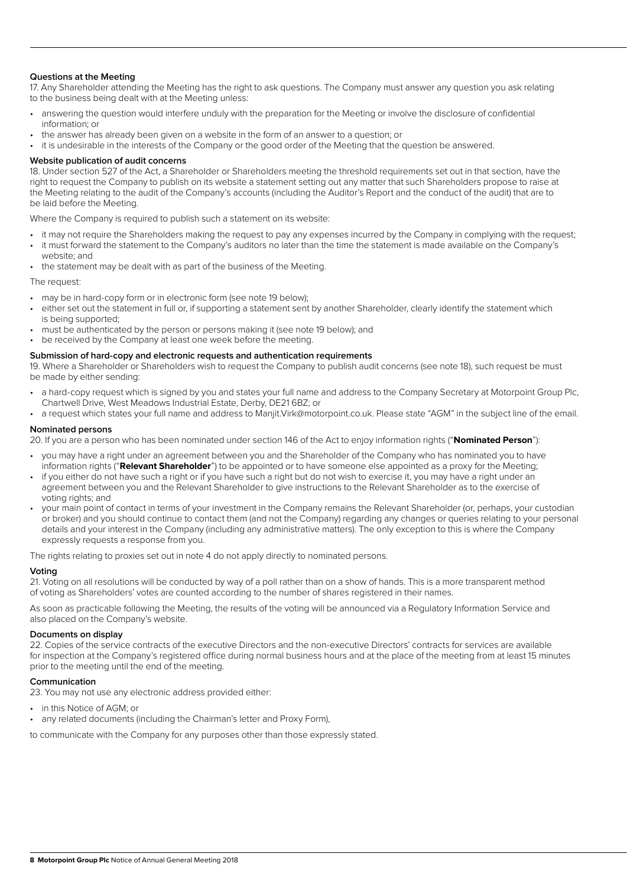## **Questions at the Meeting**

17. Any Shareholder attending the Meeting has the right to ask questions. The Company must answer any question you ask relating to the business being dealt with at the Meeting unless:

- answering the question would interfere unduly with the preparation for the Meeting or involve the disclosure of confidential information; or
- the answer has already been given on a website in the form of an answer to a question; or

• it is undesirable in the interests of the Company or the good order of the Meeting that the question be answered.

#### **Website publication of audit concerns**

18. Under section 527 of the Act, a Shareholder or Shareholders meeting the threshold requirements set out in that section, have the right to request the Company to publish on its website a statement setting out any matter that such Shareholders propose to raise at the Meeting relating to the audit of the Company's accounts (including the Auditor's Report and the conduct of the audit) that are to be laid before the Meeting.

Where the Company is required to publish such a statement on its website:

- it may not require the Shareholders making the request to pay any expenses incurred by the Company in complying with the request; • it must forward the statement to the Company's auditors no later than the time the statement is made available on the Company's
- website; and the statement may be dealt with as part of the business of the Meeting.

The request:

- may be in hard-copy form or in electronic form (see note 19 below);
- either set out the statement in full or, if supporting a statement sent by another Shareholder, clearly identify the statement which is being supported;
- must be authenticated by the person or persons making it (see note 19 below); and
- be received by the Company at least one week before the meeting.

#### **Submission of hard-copy and electronic requests and authentication requirements**

19. Where a Shareholder or Shareholders wish to request the Company to publish audit concerns (see note 18), such request be must be made by either sending:

- a hard-copy request which is signed by you and states your full name and address to the Company Secretary at Motorpoint Group Plc, Chartwell Drive, West Meadows Industrial Estate, Derby, DE21 6BZ; or
- a request which states your full name and address to Manjit.Virk@motorpoint.co.uk. Please state "AGM" in the subject line of the email.

#### **Nominated persons**

20. If you are a person who has been nominated under section 146 of the Act to enjoy information rights ("**Nominated Person**"):

- you may have a right under an agreement between you and the Shareholder of the Company who has nominated you to have information rights ("**Relevant Shareholder**") to be appointed or to have someone else appointed as a proxy for the Meeting;
- if you either do not have such a right or if you have such a right but do not wish to exercise it, you may have a right under an agreement between you and the Relevant Shareholder to give instructions to the Relevant Shareholder as to the exercise of voting rights; and
- your main point of contact in terms of your investment in the Company remains the Relevant Shareholder (or, perhaps, your custodian or broker) and you should continue to contact them (and not the Company) regarding any changes or queries relating to your personal details and your interest in the Company (including any administrative matters). The only exception to this is where the Company expressly requests a response from you.

The rights relating to proxies set out in note 4 do not apply directly to nominated persons.

## **Voting**

21. Voting on all resolutions will be conducted by way of a poll rather than on a show of hands. This is a more transparent method of voting as Shareholders' votes are counted according to the number of shares registered in their names.

As soon as practicable following the Meeting, the results of the voting will be announced via a Regulatory Information Service and also placed on the Company's website.

## **Documents on display**

22. Copies of the service contracts of the executive Directors and the non-executive Directors' contracts for services are available for inspection at the Company's registered office during normal business hours and at the place of the meeting from at least 15 minutes prior to the meeting until the end of the meeting.

## **Communication**

23. You may not use any electronic address provided either:

- in this Notice of AGM; or
- any related documents (including the Chairman's letter and Proxy Form),

to communicate with the Company for any purposes other than those expressly stated.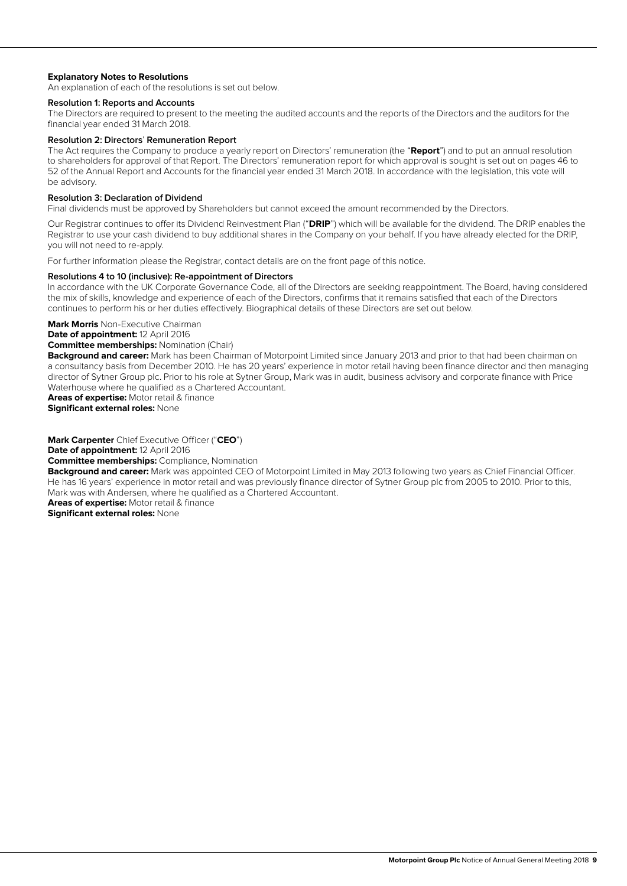## **Explanatory Notes to Resolutions**

An explanation of each of the resolutions is set out below.

#### **Resolution 1: Reports and Accounts**

The Directors are required to present to the meeting the audited accounts and the reports of the Directors and the auditors for the financial year ended 31 March 2018.

## **Resolution 2: Directors**' **Remuneration Report**

The Act requires the Company to produce a yearly report on Directors' remuneration (the "**Report**") and to put an annual resolution to shareholders for approval of that Report. The Directors' remuneration report for which approval is sought is set out on pages 46 to 52 of the Annual Report and Accounts for the financial year ended 31 March 2018. In accordance with the legislation, this vote will be advisory.

## **Resolution 3: Declaration of Dividend**

Final dividends must be approved by Shareholders but cannot exceed the amount recommended by the Directors.

Our Registrar continues to offer its Dividend Reinvestment Plan ("**DRIP**") which will be available for the dividend. The DRIP enables the Registrar to use your cash dividend to buy additional shares in the Company on your behalf. If you have already elected for the DRIP, you will not need to re-apply.

For further information please the Registrar, contact details are on the front page of this notice.

#### **Resolutions 4 to 10 (inclusive): Re-appointment of Directors**

In accordance with the UK Corporate Governance Code, all of the Directors are seeking reappointment. The Board, having considered the mix of skills, knowledge and experience of each of the Directors, confirms that it remains satisfied that each of the Directors continues to perform his or her duties effectively. Biographical details of these Directors are set out below.

**Mark Morris** Non-Executive Chairman

**Date of appointment:** 12 April 2016

## **Committee memberships:** Nomination (Chair)

**Background and career:** Mark has been Chairman of Motorpoint Limited since January 2013 and prior to that had been chairman on a consultancy basis from December 2010. He has 20 years' experience in motor retail having been finance director and then managing director of Sytner Group plc. Prior to his role at Sytner Group, Mark was in audit, business advisory and corporate finance with Price Waterhouse where he qualified as a Chartered Accountant.

**Areas of expertise:** Motor retail & finance

**Significant external roles:** None

**Mark Carpenter** Chief Executive Officer ("**CEO**")

**Date of appointment:** 12 April 2016

#### **Committee memberships:** Compliance, Nomination

**Background and career:** Mark was appointed CEO of Motorpoint Limited in May 2013 following two years as Chief Financial Officer. He has 16 years' experience in motor retail and was previously finance director of Sytner Group plc from 2005 to 2010. Prior to this, Mark was with Andersen, where he qualified as a Chartered Accountant.

**Areas of expertise:** Motor retail & finance **Significant external roles:** None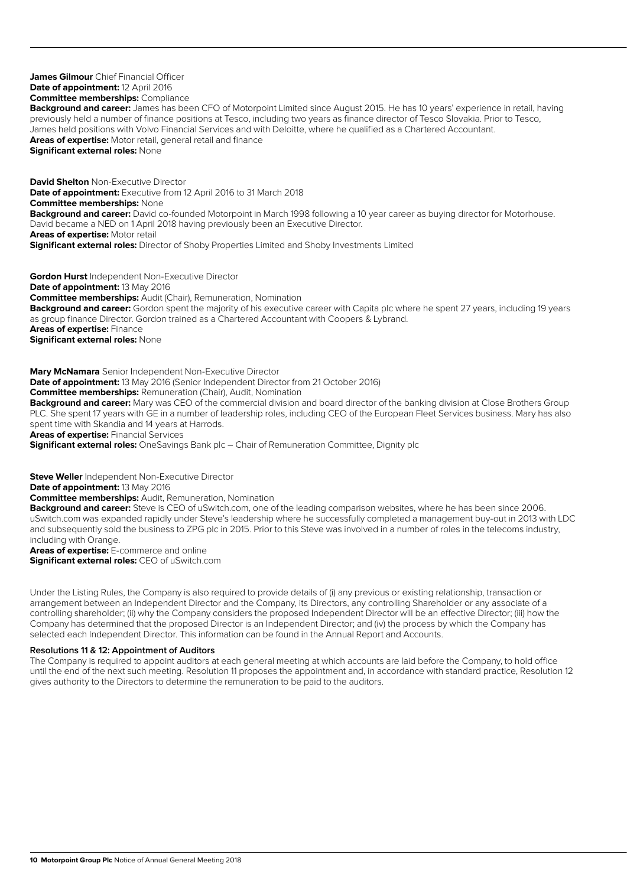**James Gilmour** Chief Financial Officer **Date of appointment:** 12 April 2016 **Committee memberships:** Compliance **Background and career:** James has been CFO of Motorpoint Limited since August 2015. He has 10 years' experience in retail, having previously held a number of finance positions at Tesco, including two years as finance director of Tesco Slovakia. Prior to Tesco, James held positions with Volvo Financial Services and with Deloitte, where he qualified as a Chartered Accountant. **Areas of expertise:** Motor retail, general retail and finance **Significant external roles:** None **David Shelton** Non-Executive Director **Date of appointment:** Executive from 12 April 2016 to 31 March 2018 **Committee memberships:** None **Background and career:** David co-founded Motorpoint in March 1998 following a 10 year career as buying director for Motorhouse.

David became a NED on 1 April 2018 having previously been an Executive Director.

**Areas of expertise:** Motor retail

**Significant external roles:** Director of Shoby Properties Limited and Shoby Investments Limited

**Gordon Hurst** Independent Non-Executive Director **Date of appointment:** 13 May 2016 **Committee memberships:** Audit (Chair), Remuneration, Nomination **Background and career:** Gordon spent the majority of his executive career with Capita plc where he spent 27 years, including 19 years as group finance Director. Gordon trained as a Chartered Accountant with Coopers & Lybrand. **Areas of expertise:** Finance **Significant external roles:** None

**Mary McNamara** Senior Independent Non-Executive Director **Date of appointment:** 13 May 2016 (Senior Independent Director from 21 October 2016) **Committee memberships:** Remuneration (Chair), Audit, Nomination **Background and career:** Mary was CEO of the commercial division and board director of the banking division at Close Brothers Group PLC. She spent 17 years with GE in a number of leadership roles, including CEO of the European Fleet Services business. Mary has also spent time with Skandia and 14 years at Harrods. **Areas of expertise:** Financial Services

**Significant external roles:** OneSavings Bank plc – Chair of Remuneration Committee, Dignity plc

**Steve Weller** Independent Non-Executive Director

**Date of appointment:** 13 May 2016

**Committee memberships:** Audit, Remuneration, Nomination

**Background and career:** Steve is CEO of uSwitch.com, one of the leading comparison websites, where he has been since 2006. uSwitch.com was expanded rapidly under Steve's leadership where he successfully completed a management buy-out in 2013 with LDC and subsequently sold the business to ZPG plc in 2015. Prior to this Steve was involved in a number of roles in the telecoms industry, including with Orange.

**Areas of expertise:** E-commerce and online **Significant external roles:** CEO of uSwitch.com

Under the Listing Rules, the Company is also required to provide details of (i) any previous or existing relationship, transaction or arrangement between an Independent Director and the Company, its Directors, any controlling Shareholder or any associate of a controlling shareholder; (ii) why the Company considers the proposed Independent Director will be an effective Director; (iii) how the Company has determined that the proposed Director is an Independent Director; and (iv) the process by which the Company has selected each Independent Director. This information can be found in the Annual Report and Accounts.

## **Resolutions 11 & 12: Appointment of Auditors**

The Company is required to appoint auditors at each general meeting at which accounts are laid before the Company, to hold office until the end of the next such meeting. Resolution 11 proposes the appointment and, in accordance with standard practice, Resolution 12 gives authority to the Directors to determine the remuneration to be paid to the auditors.